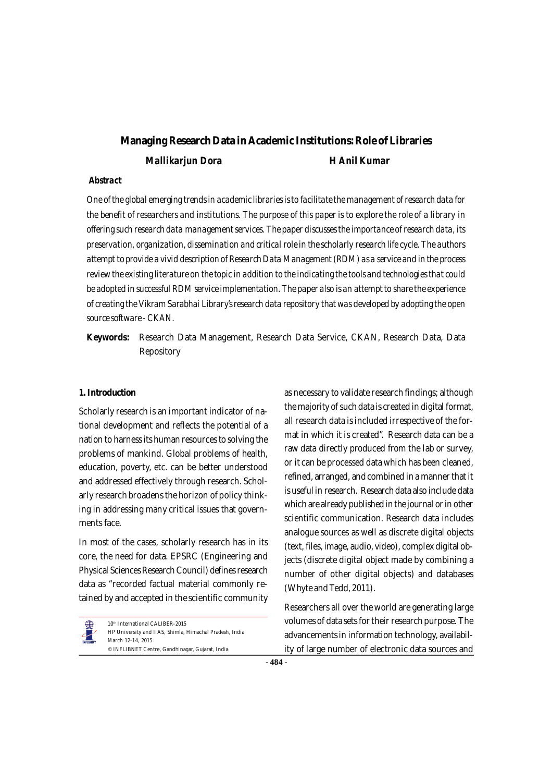# **Managing ResearchData in Academic Institutions:Role of Libraries** *Mallikarjun Dora H Anil Kumar*

### *Abstract*

*One of the global emerging trendsin academiclibraries isto facilitate the management ofresearch data for* the benefit of researchers and institutions. The purpose of this paper is to explore the role of a library in *offering such research data management services. The paper discussesthe importance ofresearch data, its preservation, organization, dissemination and critical role in the scholarly research life cycle. The authors attempt to provide a vivid description of ResearchData Management (RDM) as a service and in the process reviewthe existing literature on the topicin addition to the indicating the tools and technologiesthatcould be adopted in successful RDM service implementation. The paper also is an attemptto share the experience ofcreating the Vikram Sarabhai Library'sresearch data repository that was developed by adopting the open source software - CKAN.*

**Keywords:** Research Data Management, Research Data Service, CKAN, Research Data, Data Repository

### **1.Introduction**

Scholarly research is an important indicator of national development and reflects the potential of a nation to harness its human resources to solving the problems of mankind. Global problems of health, education, poverty, etc. can be better understood and addressed effectively through research. Scholarly research broadens the horizon of policy thinking in addressing many critical issues that governments face.

In most of the cases, scholarly research has in its core, the need for data. EPSRC (Engineering and Physical Sciences Research Council) defines research data as "recorded factual material commonly retained by and accepted in the scientific community

10<sup>th</sup> International CALIBER-2015 HP University and IIAS, Shimla, Himachal Pradesh, India March 12-14, 2015 © INFLIBNET Centre, Gandhinagar, Gujarat, India

as necessary to validate research findings; although the majority of such data is created in digital format, all research data is included irrespective of the format in which it is created". Research data can be a raw data directly produced from the lab or survey, or it can be processed data which has been cleaned, refined, arranged, and combined in a manner that it is useful in research. Research data also include data which are already published in the journal or in other scientific communication. Research data includes analogue sources as well as discrete digital objects (text, files, image, audio, video), complex digital objects (discrete digital object made by combining a number of other digital objects) and databases (Whyte and Tedd, 2011).

Researchers all over the world are generating large volumes of data sets for their research purpose. The advancements in information technology, availability of large number of electronic data sources and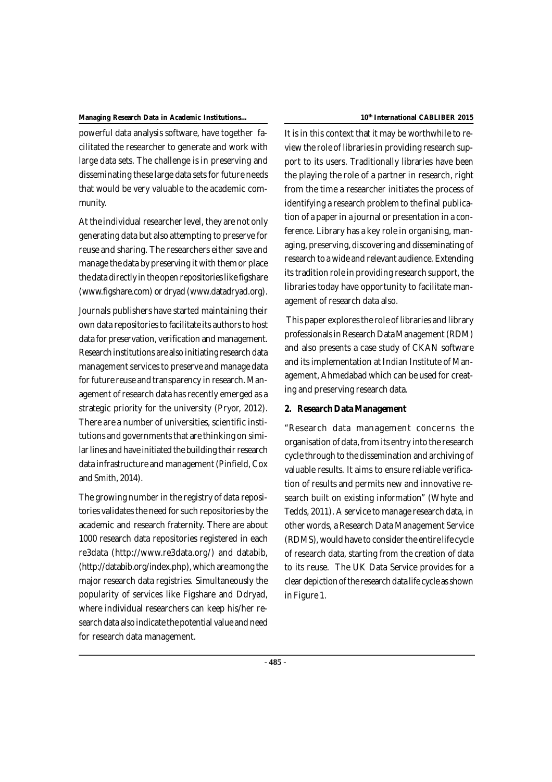powerful data analysis software, have together facilitated the researcher to generate and work with large data sets. The challenge is in preserving and disseminating these large data sets for future needs that would be very valuable to the academic community.

At the individual researcher level, they are not only generating data but also attempting to preserve for reuse and sharing. The researchers either save and manage the data by preserving it with themor place the data directly in the open repositories like figshare ([www.figshare.com\)](http://www.figshare.com)) or dryad ([www.datadryad.org\).](http://www.datadryad.org).)

Journals publishers have started maintaining their own data repositories to facilitate its authors to host data for preservation, verification and management. Research institutions are also initiating research data management services to preserve and manage data for future reuse and transparency in research. Management of research data has recently emerged as a strategic priority for the university (Pryor, 2012). There are a number of universities, scientific institutions and governments that are thinking on similar lines and have initiated the building their research data infrastructure and management(Pinfield, Cox and Smith, 2014).

The growing number in the registry of data repositories validates the need for such repositories by the academic and research fraternity. There are about 1000 research data repositories registered in each re3data ([http://www.re3data.org/\)](http://www.re3data.org/)) and databib, [\(http://databib.org/index.php\),](http://databib.org/index.php),) which are among the major research data registries. Simultaneously the popularity of services like Figshare and Ddryad, where individual researchers can keep his/her research data also indicate the potential value and need for research data management.

#### **th International CABLIBER 2015**

It is in this context that it may be worthwhile to review the role of libraries in providing research support to its users. Traditionally libraries have been the playing the role of a partner in research, right from the time a researcher initiates the process of identifying a research problem to the final publication of a paperin a journal or presentation in a conference. Library has a key role in organising, managing, preserving, discovering and disseminating of research to a wide and relevant audience. Extending its tradition role in providing research support, the libraries today have opportunity to facilitate management of research data also.

This paper exploresthe role of libraries and library professionalsinResearch DataManagement (RDM) and also presents a case study of CKAN software and its implementation at Indian Institute of Management, Ahmedabad which can be used for creating and preserving research data.

### **2. Research Data Management**

"Research data management concerns the organisation of data, from its entry into the research cycle through to the dissemination and archiving of valuable results. It aims to ensure reliable verification of results and permits new and innovative research built on existing information" (Whyte and Tedds, 2011). A service to manage research data, in other words, a Research Data Management Service (RDMS), would have to consider the entire life cycle of research data, starting from the creation of data to its reuse. The UK Data Service provides for a clear depictionofthe researchdata life cycle asshown in Figure 1.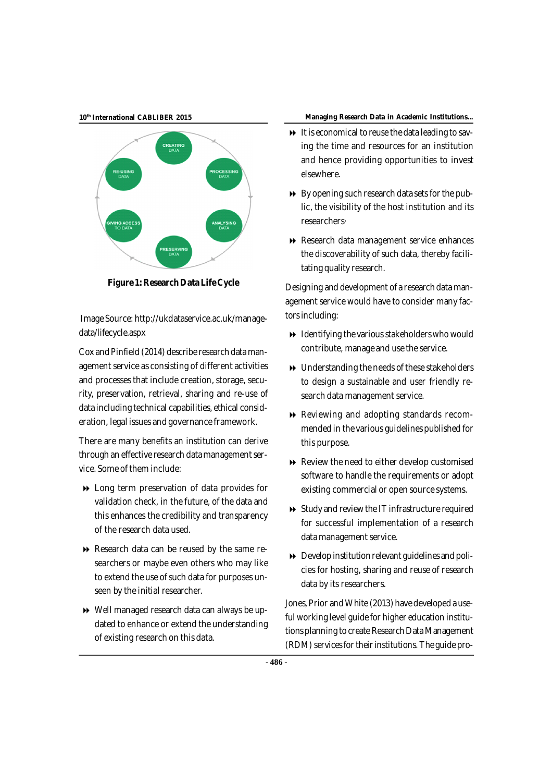**10 th**



**Figure 1: ResearchData LifeCycle**

Image Source: [http://ukdataservice.ac.uk/manage](http://ukdataservice.ac.uk/manage-)data/lifecycle.aspx

Cox and Pinfield (2014) describe research data management service as consisting of different activities and processes that include creation, storage, security, preservation, retrieval, sharing and re-use of data including technical capabilities, ethical consideration, legal issues and governance framework.

There are many benefits an institution can derive through an effective research data management service. Some of them include:

- Long term preservation of data provides for validation check, in the future, of the data and this enhances the credibility and transparency of the research data used.
- Research data can be reused by the same researchers or maybe even others who may like to extend the use of such data for purposes unseen by the initial researcher.
- Well managed research data can always be updated to enhance or extend the understanding of existing research on this data.

#### **International CABLIBER 2015 Managing Research Data in Academic Institutions...**

- $\rightarrow$  It is economical to reuse the data leading to saving the time and resources for an institution and hence providing opportunities to invest elsewhere.
- $\rightarrow$  By opening such research data sets for the public, the visibility of the host institution and its researchers·
- Research data management service enhances the discoverability of such data, thereby facilitating quality research.

Designing and development of a research data management service would have to consider many factors including:

- $\rightarrow$  Identifying the various stakeholders who would contribute, manage and use the service.
- Understanding the needs of these stakeholders to design a sustainable and user friendly research data management service.
- Reviewing and adopting standards recommended in the various guidelines published for this purpose.
- Review the need to either develop customised software to handle the requirements or adopt existing commercial or open source systems.
- $\rightarrow$  Study and review the IT infrastructure required for successful implementation of a research data management service.
- $\rightarrow$  Develop institution relevant guidelines and policies for hosting, sharing and reuse of research data by its researchers.

Jones, Prior and White (2013) have developed a useful working level guide for higher education institutions planning to create Research Data Management (RDM) services for their institutions. The guide pro-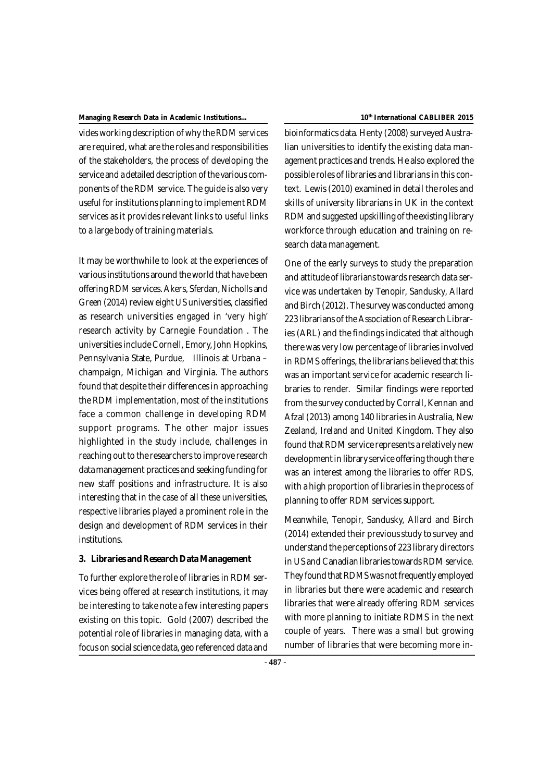vides working description ofwhy the RDM services are required, what are the roles and responsibilities of the stakeholders, the process of developing the service and a detailed description of the various components of the RDM service. The guide is also very useful for institutions planning to implement RDM services as it provides relevant links to useful links to a large body of training materials.

It may be worthwhile to look at the experiences of various institutions around the world that have been offering RDM services. Akers, Sferdan, Nicholls and Green (2014) review eight US universities, classified as research universities engaged in 'very high' research activity by Carnegie Foundation . The universities include Cornell, Emory, John Hopkins, Pennsylvania State, Purdue, Illinois at Urbana – champaign, Michigan and Virginia. The authors found that despite their differencesin approaching the RDM implementation, most of the institutions face a common challenge in developing RDM support programs. The other major issues highlighted in the study include, challenges in reaching out to the researchers to improve research datamanagement practices and seeking funding for new staff positions and infrastructure. It is also interesting that in the case of all these universities, respective libraries played a prominent role in the design and development of RDM services in their institutions.

### **3. Libraries andResearch Data Management**

To further explore the role of libraries in RDM services being offered at research institutions, it may be interesting to take note a few interesting papers existing on this topic. Gold (2007) described the potential role of libraries in managing data, with a focus on social science data, geo referenced data and

#### **th International CABLIBER 2015**

bioinformatics data. Henty (2008) surveyed Australian universities to identify the existing data management practices and trends. He also explored the possible roles of libraries and librariansin this context. Lewis (2010) examined in detail the roles and skills of university librarians in UK in the context RDM and suggested upskilling of the existing library workforce through education and training on research data management.

One of the early surveys to study the preparation and attitude of librarians towards research data service was undertaken by Tenopir, Sandusky, Allard and Birch (2012). The survey was conducted among 223 librarians of the Association of Research Libraries (ARL) and the findings indicated that although there was very low percentage of libraries involved in RDMS offerings, the librarians believed that this was an important service for academic research libraries to render. Similar findings were reported from the survey conducted by Corrall, Kennan and Afzal (2013) among 140 libraries in Australia, New Zealand, Ireland and United Kingdom. They also found that RDM service represents a relatively new development in library service offering though there was an interest among the libraries to offer RDS, with a high proportion of libraries in the process of planning to offer RDM services support.

Meanwhile, Tenopir, Sandusky, Allard and Birch (2014) extended their previousstudy to survey and understand the perceptions of 223 library directors in US and Canadian libraries towards RDM service. They found that RDMS was not frequently employed in libraries but there were academic and research libraries that were already offering RDM services with more planning to initiate RDMS in the next couple of years. There was a small but growing number of libraries that were becoming more in-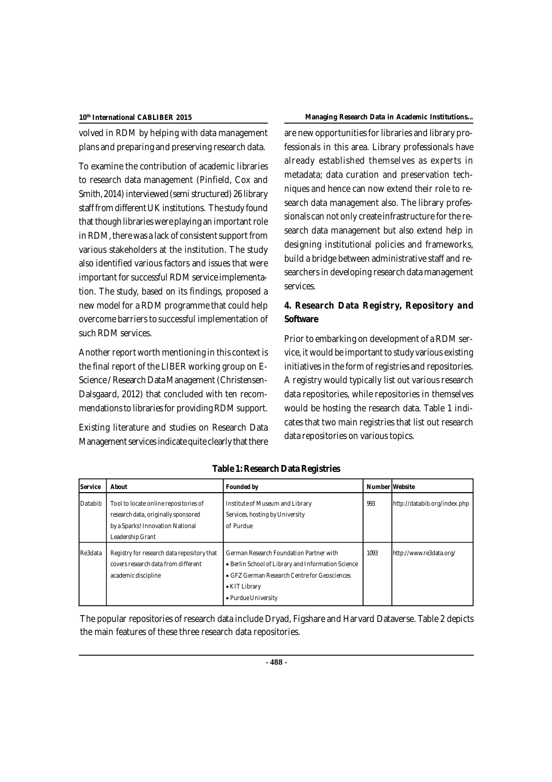volved in RDM by helping with data management plans and preparing and preserving research data.

To examine the contribution of academic libraries to research data management (Pinfield, Cox and Smith, 2014) interviewed (semi structured) 26 library staff from different UK institutions. The study found that though libraries were playing an important role in RDM, there was a lack of consistent support from various stakeholders at the institution. The study also identified various factors and issues that were important for successful RDM service implementation. The study, based on its findings, proposed a new model for a RDM programme that could help overcome barriers to successful implementation of such RDM services.

Another report worth mentioning in this context is the final report of the LIBER working group on E-Science / Research Data Management (Christensen-Dalsgaard, 2012) that concluded with ten recommendations to libraries for providing RDM support.

Existing literature and studies on Research Data Management services indicate quite clearly that there

### **International CABLIBER 2015 Managing Research Data in Academic Institutions...**

are new opportunities for libraries and library professionals in this area. Library professionals have already established themselves as experts in metadata; data curation and preservation techniques and hence can now extend their role to research data management also. The library professionals can not only create infrastructure forthe research data management but also extend help in designing institutional policies and frameworks, build a bridge between administrative staff and researchers in developing research data management services.

## **4. Research Data Registry, Repository and Software**

Prior to embarking on development of a RDM service, it would be important to study various existing initiatives in the form of registries and repositories. A registry would typically list out various research data repositories, while repositories in themselves would be hosting the research data. Table 1 indicates that two main registries that list out research data repositories on various topics.

| <b>Service</b> | About                                                                                                    | <b>Founded by</b>                                                                                                                                                                     | <b>Number Website</b> |                              |
|----------------|----------------------------------------------------------------------------------------------------------|---------------------------------------------------------------------------------------------------------------------------------------------------------------------------------------|-----------------------|------------------------------|
| Databib        | Tool to locate online repositories of<br>research data, originally sponsored                             | Institute of Museum and Library<br>Services, hosting by University                                                                                                                    | 993                   | http://databib.org/index.php |
|                | by a Sparks! Innovation National                                                                         | of Purdue                                                                                                                                                                             |                       |                              |
|                | Leadership Grant                                                                                         |                                                                                                                                                                                       |                       |                              |
| Re3data        | Registry for research data repository that<br>covers research data from different<br>academic discipline | German Research Foundation Partner with<br>• Berlin School of Library and Information Science<br>• GFZ German Research Centre for Geosciences<br>• KIT Library<br>• Purdue University | 1093                  | http://www.re3data.org/      |

### **Table 1:Research Data Registries**

The popular repositories of research data include Dryad, Figshare and Harvard Dataverse. Table 2 depicts the main features of these three research data repositories.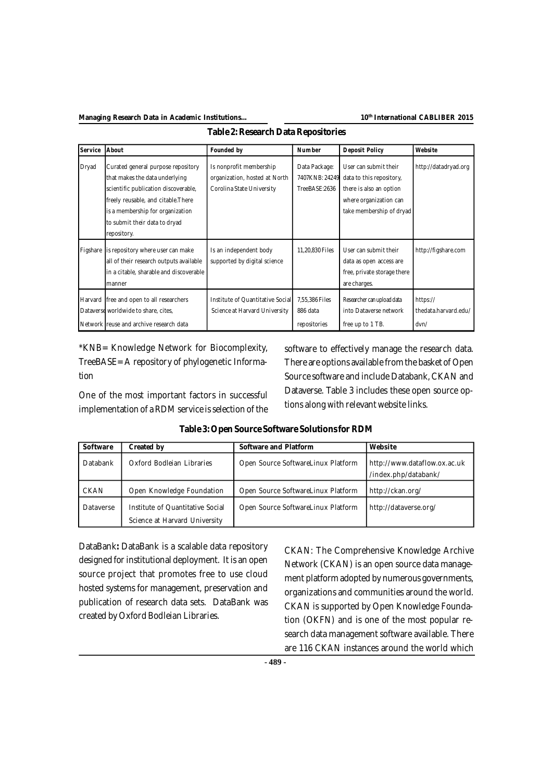### **th International CABLIBER 2015**

| <b>Service</b> | About                                                                                                                                                                                                                                   | Founded by                                                                            | <b>Number</b>                                    | <b>Deposit Policy</b>                                                                                                              | Website                                  |
|----------------|-----------------------------------------------------------------------------------------------------------------------------------------------------------------------------------------------------------------------------------------|---------------------------------------------------------------------------------------|--------------------------------------------------|------------------------------------------------------------------------------------------------------------------------------------|------------------------------------------|
| Dryad          | Curated general purpose repository<br>that makes the data underlying<br>scientific publication discoverable,<br>freely reusable, and citable. There<br>is a membership for organization<br>to submit their data to dryad<br>repository. | Is nonprofit membership<br>organization, hosted at North<br>Corolina State University | Data Package:<br>7407KNB: 24249<br>TreeBASE:2636 | User can submit their<br>data to this repository,<br>there is also an option<br>where organization can<br>take membership of dryad | http://datadryad.org                     |
| Figshare       | is repository where user can make<br>all of their research outputs available<br>in a citable, sharable and discoverable<br>manner                                                                                                       | Is an independent body<br>supported by digital science                                | 11,20,830 Files                                  | User can submit their<br>data as open access are<br>free, private storage there<br>are charges.                                    | http://figshare.com                      |
|                | Harvard free and open to all researchers<br>Dataverse worldwide to share, cites,<br>Network reuse and archive research data                                                                                                             | Institute of Quantitative Social<br>Science at Harvard University                     | 7,55,386 Files<br>886 data<br>repositories       | Researcher can upload data<br>into Dataverse network<br>free up to 1 TB.                                                           | https://<br>thedata.harvard.edu/<br>dvn/ |

**Table 2:Research Data Repositories**

\*KNB= Knowledge Network for Biocomplexity, TreeBASE= A repository of phylogenetic Information

One of the most important factors in successful implementation of a RDM service is selection of the software to effectively manage the research data. There are options available fromthe basket of Open Source software and include Databank, CKAN and Dataverse. Table 3 includes these open source options along with relevant website links.

| Software    | Created by                                                        | Software and Platform              | Website                                              |
|-------------|-------------------------------------------------------------------|------------------------------------|------------------------------------------------------|
| Databank    | Oxford Bodleian Libraries                                         | Open Source SoftwareLinux Platform | http://www.dataflow.ox.ac.uk<br>/index.php/databank/ |
| <b>CKAN</b> | Open Knowledge Foundation                                         | Open Source SoftwareLinux Platform | http://ckan.org/                                     |
| Dataverse   | Institute of Quantitative Social<br>Science at Harvard University | Open Source SoftwareLinux Platform | http://dataverse.org/                                |

DataBank**:** DataBank is a scalable data repository designed for institutional deployment. It is an open source project that promotes free to use cloud hosted systems for management, preservation and publication of research data sets. DataBank was created by Oxford Bodleian Libraries.

CKAN: The Comprehensive Knowledge Archive Network (CKAN) is an open source data management platform adopted by numerous governments, organizations and communities around the world. CKAN is supported by Open Knowledge Foundation (OKFN) and is one of the most popular research data management software available. There are 116 CKAN instances around the world which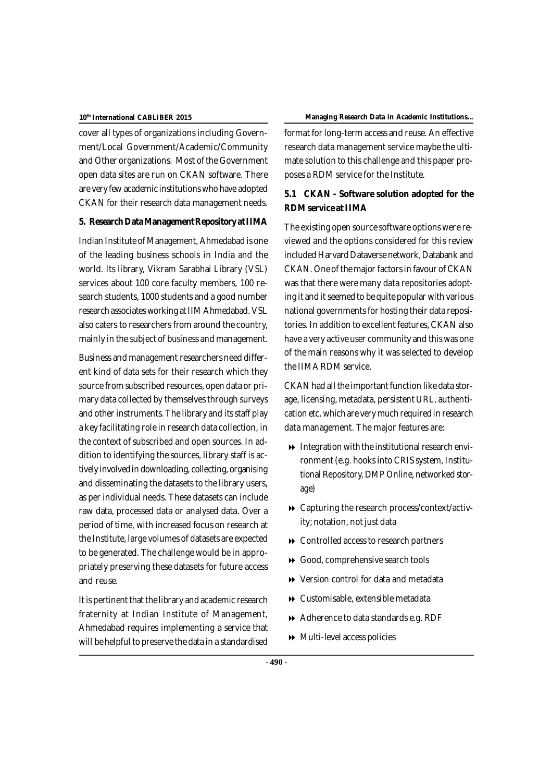cover all types of organizations including Government/Local Government/Academic/Community and Other organizations. Most of the Government open data sites are run on CKAN software. There are very few academic institutionswho have adopted CKAN for their research data management needs.

### **5. ResearchDataManagementRepository atIIMA**

Indian Institute of Management, Ahmedabad is one of the leading business schools in India and the world. Its library, Vikram Sarabhai Library (VSL) services about 100 core faculty members, 100 research students, 1000 students and a good number research associates working at IIM Ahmedabad. VSL also caters to researchers from around the country, mainly in the subject of business and management.

Business and management researchers need different kind of data sets for their research which they source from subscribed resources, open data or primary data collected by themselves through surveys and other instruments. The library and its staff play a key facilitating role in research data collection, in the context of subscribed and open sources. In addition to identifying the sources, library staff is actively involvedin downloading, collecting, organising and disseminating the datasets to the library users, as per individual needs. These datasets can include raw data, processed data or analysed data. Over a period of time, with increased focus on research at the Institute, large volumes of datasets are expected to be generated. The challenge would be in appropriately preserving these datasets for future access and reuse.

It is pertinent that the library and academic research fraternity at Indian Institute of Management, Ahmedabad requires implementing a service that will be helpful to preserve the data in a standardised

#### **International CABLIBER 2015 Managing Research Data in Academic Institutions...**

format for long-term access and reuse. An effective research data management service maybe the ultimate solution to this challenge and this paper proposes a RDM service for the Institute.

### **5.1 CKAN - Software solution adopted for the RDM service atIIMA**

The existing open source software optionswere reviewed and the options considered for this review included Harvard Dataverse network, Databank and CKAN. One of the major factorsin favour of CKAN was that there were many data repositories adopting it and it seemed to be quite popular with various national governments for hosting their data repositories. In addition to excellent features, CKAN also have a very active user community and thiswas one of the main reasons why it was selected to develop the IIMARDM service.

CKAN had all the important function like data storage, licensing, metadata, persistent URL, authentication etc. whichare very much required in research data management. The major features are:

- $\rightarrow$  Integration with the institutional research environment(e.g. hooksinto CRIS system, Institutional Repository, DMP Online, networked storage)
- Capturing the research process/context/activity; notation, not just data
- **▶ Controlled access to research partners**
- Good, comprehensive search tools
- **EXECUTE:** Version control for data and metadata
- Customisable, extensible metadata
- Adherence to data standards e.g. RDF
- Multi-level access policies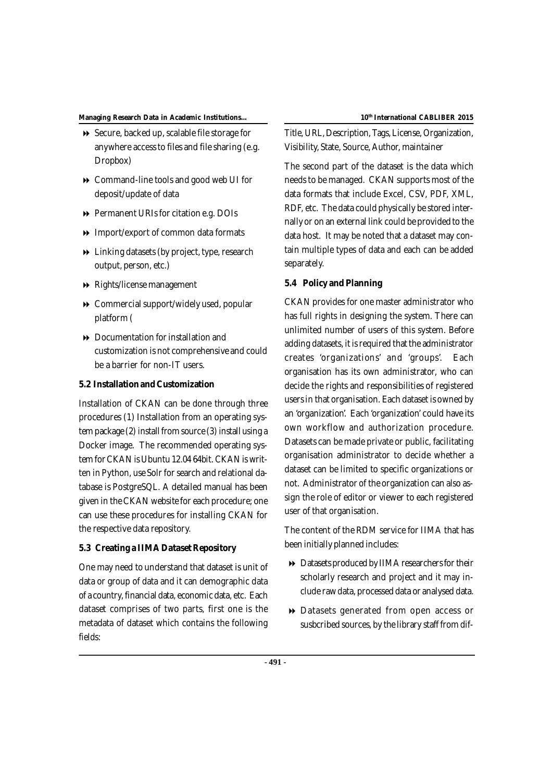- **▶ Secure, backed up, scalable file storage for** anywhere accessto files and file sharing (e.g. Dropbox)
- Command-line tools and good web UI for deposit/update of data
- **Permanent URIs for citation e.g. DOIs**
- **IMPORT** Import/export of common data formats
- $\rightarrow$  Linking datasets (by project, type, research output, person, etc.)
- Rights/license management
- Commercial support/widely used, popular platform (
- $\rightarrow$  Documentation for installation and customization is not comprehensive and could be a barrier for non-IT users.

### **5.2 Installation andCustomization**

Installation of CKAN can be done through three procedures (1) Installation from an operating system package (2) install from source (3) install using a Docker image. The recommended operating system for CKAN is Ubuntu 12.04 64bit. CKAN is written in Python, use Solr for search and relational database is PostgreSQL. A detailed manual has been given in the CKAN website for each procedure; one can use these procedures for installing CKAN for the respective data repository.

### **5.3 Creating a IIMADatasetRepository**

One may need to understand that dataset is unit of data or group of data and it can demographic data of a country, financial data, economic data, etc. Each dataset comprises of two parts, first one is the metadata of dataset which contains the following fields:

Title, URL, Description, Tags, License, Organization, Visibility, State, Source, Author, maintainer

The second part of the dataset is the data which needsto be managed. CKAN supports most of the data formats that include Excel, CSV, PDF, XML, RDF, etc. The data could physically be stored internally or on an external link could be provided to the data host. It may be noted that a dataset may contain multiple types of data and each can be added separately.

### **5.4 Policy and Planning**

CKAN provides for one master administrator who has full rights in designing the system. There can unlimited number of users of this system. Before adding datasets, it is required that the administrator creates 'organizations' and 'groups'. Each organisation has its own administrator, who can decide the rights and responsibilities of registered usersin that organisation. Each dataset is owned by an 'organization'. Each 'organization' could have its own workflow and authorization procedure. Datasets can be made private or public, facilitating organisation administrator to decide whether a dataset can be limited to specific organizations or not. Administrator of the organization can also assign the role of editor or viewer to each registered user of that organisation.

The content of the RDM service for IIMA that has been initially planned includes:

- $\rightarrow$  Datasets produced by IIMA researchers for their scholarly research and project and it may include rawdata, processed data or analysed data.
- Datasets generated from open access or susbcribed sources, by the library staff from dif-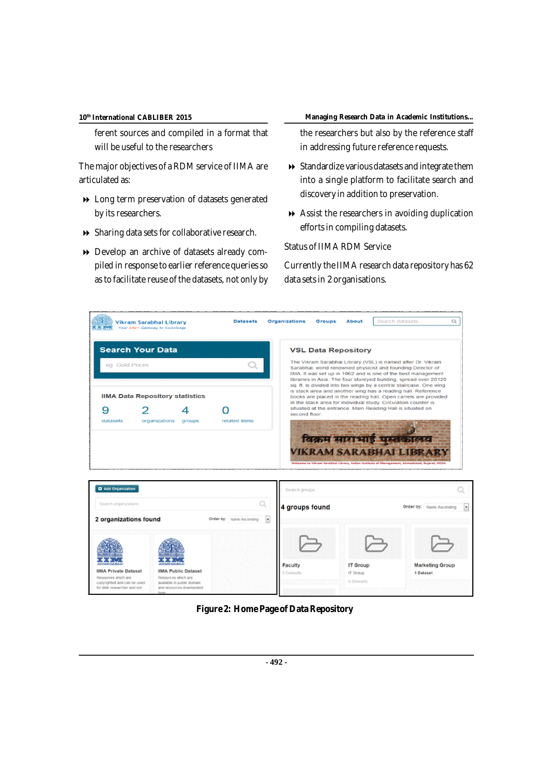ferent sources and compiled in a format that will be useful to the researchers

The major objectives of a RDM service of IIMA are articulated as:

- Long term preservation of datasets generated by its researchers.
- Sharing data sets for collaborative research.
- Develop an archive of datasets already compiled in response to earlier reference queries so as to facilitate reuse of the datasets, not only by

#### **International CABLIBER 2015 Managing Research Data in Academic Institutions...**

the researchers but also by the reference staff in addressing future reference requests.

- $\rightarrow$  Standardize various datasets and integrate them into a single platform to facilitate search and discovery in addition to preservation.
- Assist the researchers in avoiding duplication efforts in compiling datasets.

Status of IIMA RDM Service

Currently the IIMA research data repository has 62 data sets in 2 organisations.

| <b>CERTIFICATE</b>                                                                                                | Vikram Sarabhai Librarv<br>Your 24x7 Gateway to Knowledge                                                                       | <b>Datasets</b>               | <b>Organizations</b>             | Groups<br><b>About</b>                                                                                                                                                                                                    | Search datasets.                                                                                                                                                                                                                                                                                                                                                                                                                                                                                                                                                      | Q                                   |  |  |  |
|-------------------------------------------------------------------------------------------------------------------|---------------------------------------------------------------------------------------------------------------------------------|-------------------------------|----------------------------------|---------------------------------------------------------------------------------------------------------------------------------------------------------------------------------------------------------------------------|-----------------------------------------------------------------------------------------------------------------------------------------------------------------------------------------------------------------------------------------------------------------------------------------------------------------------------------------------------------------------------------------------------------------------------------------------------------------------------------------------------------------------------------------------------------------------|-------------------------------------|--|--|--|
| <b>Search Your Data</b><br>eg. Gold Prices                                                                        |                                                                                                                                 |                               |                                  | <b>VSL Data Repository</b><br>The Vikram Sarabhai Library (VSL) is named after Dr. Vikram<br>Sarabhai, world renowned physicist and founding Director of<br>IIMA. It was set up in 1962 and is one of the best management |                                                                                                                                                                                                                                                                                                                                                                                                                                                                                                                                                                       |                                     |  |  |  |
| 9<br>datasets                                                                                                     | <b>IIMA Data Repository statistics</b><br>organizations<br>groups                                                               | related items.                | second floor.                    |                                                                                                                                                                                                                           | libraries in Asia. The four storeyed building, spread over 20120<br>sq. ft. is divided into two wings by a central staircase. One wing<br>is stack area and another wing has a reading hall. Reference<br>books are placed in the reading hall. Open carrels are provided<br>in the stack area for individual study. Circulation counter is<br>situated at the entrance. Main Reading Hall is situated on<br>विक्रम साराभाई पुस्तकालय<br><b>VIKRAM SARABHAI LIBR</b><br>Welcome to Wikram Sarabhai Library, Indian Institute of Management, Ahmedabad, Gujarat, INDIA |                                     |  |  |  |
| <b>Q</b> Add Organization                                                                                         |                                                                                                                                 |                               | Search groups.                   |                                                                                                                                                                                                                           |                                                                                                                                                                                                                                                                                                                                                                                                                                                                                                                                                                       |                                     |  |  |  |
| Search organizations.<br>2 organizations found                                                                    |                                                                                                                                 | Q<br>Order by: Name Ascending | 4 groups found<br>$\overline{a}$ |                                                                                                                                                                                                                           |                                                                                                                                                                                                                                                                                                                                                                                                                                                                                                                                                                       | Order by: Name Ascending            |  |  |  |
|                                                                                                                   |                                                                                                                                 |                               |                                  |                                                                                                                                                                                                                           |                                                                                                                                                                                                                                                                                                                                                                                                                                                                                                                                                                       |                                     |  |  |  |
| <b>IIMA Private Dataset</b><br>Resources which are<br>copyrighted and can be used<br>for IRAA researcher and not. | <b>IIMA Public Dataset</b><br>Resources which are<br>available in public domain<br>and resources downladded<br><b>TV</b> Collis |                               | Faculty<br>0 Datasets            | <b>IT Group</b><br>IT Group<br>0 Datasets                                                                                                                                                                                 |                                                                                                                                                                                                                                                                                                                                                                                                                                                                                                                                                                       | <b>Marketing Group</b><br>1 Dataset |  |  |  |

**Figure 2: Home Page of Data Repository**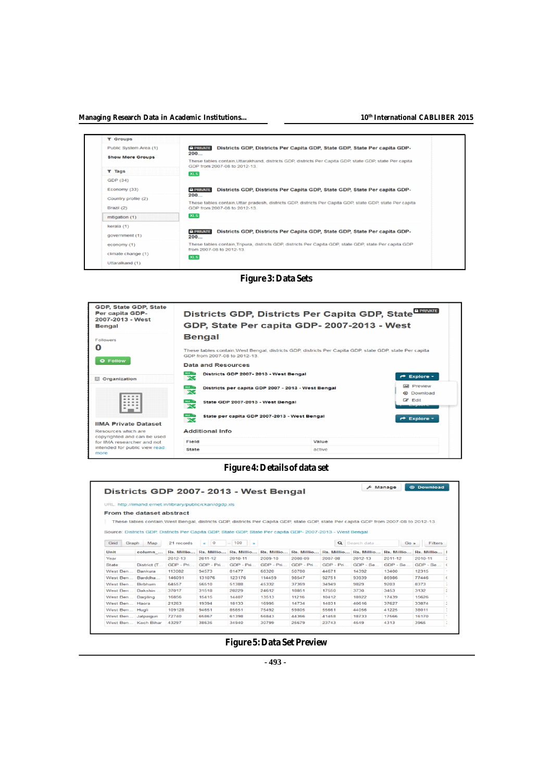#### **th International CABLIBER 2015**

|  | T Groups                                          |                                                                                                                                                 |  |  |  |  |  |
|--|---------------------------------------------------|-------------------------------------------------------------------------------------------------------------------------------------------------|--|--|--|--|--|
|  | Public System Area (1)<br><b>Show More Groups</b> | <b>A PRIVATE</b><br>Districts GDP, Districts Per Capita GDP, State GDP, State Per capita GDP-<br>200                                            |  |  |  |  |  |
|  |                                                   | These tables contain.Uttarakhand, districts GDP, districts Per Capita GDP, state GDP, state Per capita<br>GDP from 2007-08 to 2012-13.          |  |  |  |  |  |
|  | T Tags                                            | XL.S.                                                                                                                                           |  |  |  |  |  |
|  | GDP (34)                                          |                                                                                                                                                 |  |  |  |  |  |
|  | Economy (33)                                      | <b>A PRIVATE</b><br>Districts GDP, Districts Per Capita GDP, State GDP, State Per capita GDP-                                                   |  |  |  |  |  |
|  | Country profile (2)<br>Brazil (2)                 | 200<br>These tables contain, Uttar pradesh, districts GDP, districts Per Capita GDP, state GDP, state Per capita<br>GDP from 2007-08 to 2012-13 |  |  |  |  |  |
|  | mitigation (1)                                    | XLS.                                                                                                                                            |  |  |  |  |  |
|  | kerala (1)<br>government (1)                      | <b>A PRIVATE</b><br>Districts GDP, Districts Per Capita GDP, State GDP, State Per capita GDP-<br>200                                            |  |  |  |  |  |
|  | economy (1)                                       | These tables contain, Tripura, districts GDP, districts Per Capita GDP, state GDP, state Per capita GDP<br>from 2007-08 to 2012-13              |  |  |  |  |  |
|  | climate change (1)<br>Uttaralkand (1)             | XLS                                                                                                                                             |  |  |  |  |  |
|  |                                                   |                                                                                                                                                 |  |  |  |  |  |

### **Figure 3: Data Sets**



### **Figure 4: Details of data set**

|                | <b>@ Download</b><br><b>A</b> Manage<br>Districts GDP 2007-2013 - West Bengal |                                                          |            |           |                       |                                                                                                                                      |            |               |          |                       |   |
|----------------|-------------------------------------------------------------------------------|----------------------------------------------------------|------------|-----------|-----------------------|--------------------------------------------------------------------------------------------------------------------------------------|------------|---------------|----------|-----------------------|---|
|                |                                                                               | URL: http://iimahd.ernet.in/library/public/ckan/dgdp.xls |            |           |                       |                                                                                                                                      |            |               |          |                       |   |
|                | From the dataset abstract                                                     |                                                          |            |           |                       |                                                                                                                                      |            |               |          |                       |   |
|                |                                                                               |                                                          |            |           |                       | These tables contain. West Bengal, districts GDP, districts Per Capita GDP, state GDP, state Per capita GDP from 2007-08 to 2012-13. |            |               |          |                       |   |
| Graph<br>Grid  | <b>Map</b>                                                                    | 21 records                                               | $\sim$ 0   | 100       |                       | Source: Districts GDP, Districts Per Capita GDP, State GDP, State Per capita GDP- 2007-2013 - West Bengal                            |            | Q Search data | Go »     | <b>Filters</b>        |   |
| Unit           | column                                                                        | Rs. Millio                                               | Rs. Millio |           | Rs. Millio Rs. Millio | Rs. Millio                                                                                                                           | Rs. Millio | Rs. Millio    |          | Rs. Millio Rs. Millio |   |
| Year           |                                                                               | 2012-13                                                  | 2011-12    | 2010-11   | 2009-10               | 2008-09                                                                                                                              | 2007-08    | 2012-13       | 2011-12  | 2010-11               |   |
| State          | District (T                                                                   | GDP - Pri                                                | GDP - Pri  | GDP - Pri | GDP - Pri             | GDP - Pri                                                                                                                            | GDP - Pri  | $GDP - Sa$    | GDP - Se | GDP - Se              |   |
| West Ben       | Bankura                                                                       | 113082                                                   | 94573      | 81477     | 68320                 | 50780                                                                                                                                | 44671      | 14392         | 13400    | 12315                 |   |
| West Ben       | Barddha                                                                       | 146091                                                   | 131076     | 123176    | 114459                | 98547                                                                                                                                | 92751      | 93939         | 86986    | 77446                 |   |
| West Ben       | Birbhum                                                                       | 64557                                                    | 56510      | 51388     | 45332                 | 37369                                                                                                                                | 34949      | 9829          | 9203     | 8373                  |   |
| West Ben       | <b>Dakshin</b>                                                                | 37017                                                    | 31518      | 28229     | 24612                 | 18851                                                                                                                                | 17550      | 3730          | 3453     | 3132                  | z |
| West Ben       | Darjiling                                                                     | 16856                                                    | 15415      | 14407     | 13513                 | 11216                                                                                                                                | 10412      | 18922         | 17439    | 15626                 |   |
| West Ben Haora |                                                                               | 21263                                                    | 19394      | 18133     | 16995                 | 14734                                                                                                                                | 14031      | 40616         | 37627    | 33874                 |   |
|                | Huali                                                                         | 109128                                                   | 94651      | 85651     | 75492                 | 59805                                                                                                                                | 55661      | 44056         | 41225    | 38011                 |   |
| West Ben       |                                                                               |                                                          |            |           |                       |                                                                                                                                      |            |               |          |                       |   |
| West Ben       | Jalpaiguri                                                                    | 72740                                                    | 65867      | 61398     | 56843                 | 44366                                                                                                                                | 41458      | 18733         | 17566    | 16170                 |   |

### **Figure 5:Data Set Preview**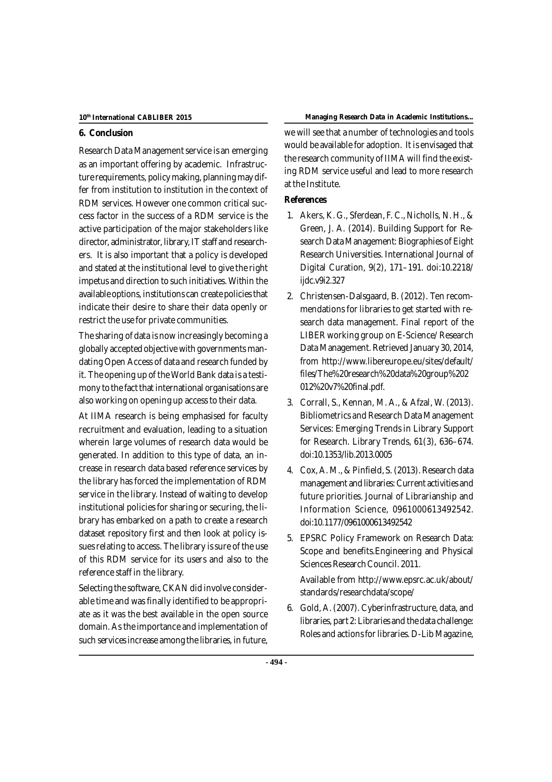### **6. Conclusion**

Research Data Management service is an emerging as an important offering by academic. Infrastructure requirements, policy making, planning may differ from institution to institution in the context of RDM services. However one common critical success factor in the success of a RDM service is the active participation of the major stakeholders like director, administrator, library,IT staff and researchers. It is also important that a policy is developed and stated at the institutional level to give the right impetus and direction to such initiatives. Within the available options, institutions can create policiesthat indicate their desire to share their data openly or restrict the use for private communities.

The sharing of data is now increasingly becoming a globally accepted objective with governments mandating Open Access of data and research funded by it. The opening up of the World Bank data is a testimony to the fact that international organisations are also working on opening up access to their data.

At IIMA research is being emphasised for faculty recruitment and evaluation, leading to a situation wherein large volumes of research data would be generated. In addition to this type of data, an increase in research data based reference services by the library has forced the implementation of RDM service in the library. Instead of waiting to develop institutional policies for sharing or securing, the library has embarked on a path to create a research dataset repository first and then look at policy issues relating to access. The library is sure of the use of this RDM service for its users and also to the reference staff in the library.

Selecting the software, CKAN did involve considerable time and was finally identified to be appropriate as it was the best available in the open source domain. As the importance and implementation of such services increase among the libraries, in future,

### **International CABLIBER 2015 Managing Research Data in Academic Institutions...**

we will see that a number of technologies and tools would be available for adoption. It is envisaged that the research community of IIMA will find the existing RDM service useful and lead to more research at the Institute.

### **References**

- 1. Akers, K. G., Sferdean, F. C., Nicholls, N. H., & Green, J. A. (2014). Building Support for Research Data Management: Biographies of Eight Research Universities. International Journal of Digital Curation, 9(2), 171–191. doi:10.2218/ ijdc.v9i2.327
- 2. Christensen-Dalsgaard, B. (2012). Ten recommendations for libraries to get started with research data management. Final report of the LIBER working group on E-Science/ Research Data Management. Retrieved January 30, 2014, from <http://www.libereurope.eu/sites/default/> files/The%20research%20data%20group%202 012%20v7%20final.pdf.
- 3. Corrall, S., Kennan, M. A., & Afzal, W. (2013). Bibliometrics and Research Data Management Services: Emerging Trends in Library Support for Research. Library Trends, 61(3), 636–674. doi:10.1353/lib.2013.0005
- 4. Cox, A. M., & Pinfield, S. (2013). Research data management and libraries: Current activities and future priorities. Journal of Librarianship and Information Science, 0961000613492542. doi:10.1177/0961000613492542
- 5. EPSRC Policy Framework on Research Data: Scope and benefits.Engineering and Physical Sciences Research Council. 2011.

Available from <http://www.epsrc.ac.uk/about/> standards/researchdata/scope/

6. Gold, A. (2007). Cyberinfrastructure, data, and libraries, part 2: Libraries and the data challenge: Roles and actions for libraries. D-Lib Magazine,